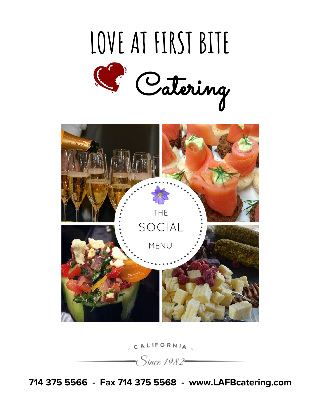



CALIFORNIA

-Since 1982–

**714 375 5566 - Fax 714 375 5568 - www.LAFBcatering.com**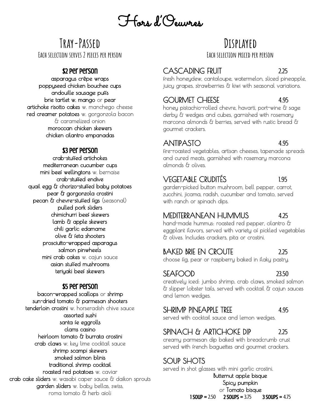# Hors d'Oeuvres

# **Tray-Passed Each selection serves 2 pieces per person**

#### \$2 per person

asparagus crêpe wraps poppyseed chicken bouchee cups andouille sausage puffs brie tartlet w. mango or pear artichoke risotto cakes w. manchego cheese red creamer potatoes w. gorgonzola bacon & caramelized onion moroccan chicken skewers chicken cilantro empanadas

#### \$3 per person

crab-stuffed artichokes mediterranean cucumber cups mini beef wellingtons w. bernaise crab-stuffed endive quail egg & chorizo-stuffed baby potatoes pear & gorgonzola crostini pecan & chevre-stuffed figs (seasonal) pulled pork sliders chimichurri beef skewers lamb & apple skewers chili garlic edamame olive & feta shooters prosciutto-wrapped asparagus salmon pinwheels mini crab cakes w. cajun sauce asian stuffed mushrooms teriyaki beef skewers

#### \$5 per person

bacon-wrapped scallops or shrimp sun-dried tomato & parmesan shooters tenderloin crostini w. horseradish chive sauce assorted sushi santa fe eggrolls clams casino heirloom tomato & burrata crostini crab claws w. key lime cocktail sauce shrimp scampi skewers smoked salmon blinis traditional shrimp cocktail roasted red potatoes w. caviar crab cake sliders w. wasabi caper sauce & daikon sprouts garden sliders w. baby bellas, swiss, roma tomato & herb aioli

# **Displayed**

**Each selection priced per person**

# CASCADING FRUIT 2.25

fresh honeydew, cantaloupe, watermelon, sliced pineapple, juicy grapes, strawberries & kiwi with seasonal variations.

# GOURMET CHEESE 4.95

honey pistachio-rolled chevre, havarti, port-wine & sage derby & wedges and cubes, garnished with rosemary marcona almonds & berries, served with rustic bread & gourmet crackers.

#### ANTIPASTO 4.95

fire-roasted vegetables, artisan cheeses, tapenade spreads and cured meats, garnished with rosemary marcona almonds & olives.

# VEGETABLE CRUDITÉS 1.95

garden-picked button mushroom, bell pepper, carrot, zucchini, jicama, radish, cucumber and tomato, served with ranch or spinach dips.

## MEDITERRANEAN HUMMUS 4.25

hand-made hummus: roasted red pepper, cilantro & eggplant flavors, served with variety of pickled vegetables & olives. Includes crackers, pita or crostini.

## BAKED BRIE EN CROUTE 2.25

choose fig, pear or raspberry baked in flaky pastry.

 $SEAFOOD$  23.50 creatively iced: jumbo shrimp, crab claws, smoked salmon & slipper lobster tails, served with cocktail & cajun sauces and lemon wedges.

#### SHRIMP PINEAPPLE TREE 4.95

served with cocktail sauce and lemon wedges.

# SPINACH & ARTICHOKE DIP 2.25

creamy parmesan dip baked with breadcrumb crust served with french baguettes and gourmet crackers.

# SOUP SHOTS

served in shot glasses with mini garlic crostini. Butternut apple bisque Spicy pumpkin or Tomato bisque<br> $1$ SOUP = 2.50  $2$ SOUPS = 3.75  $3$ SOUPS = 4.75  $2$  SOUPS = 3.75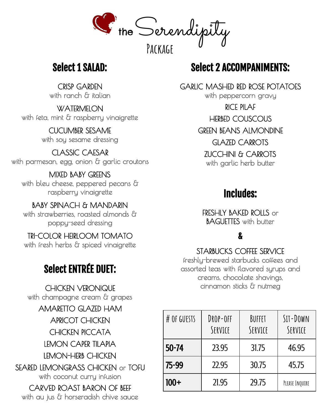

# Select 1 SALAD:

CRISP GARDEN with ranch & italian

**WATERMELON** with feta, mint & raspberry vinaigrette

> CUCUMBER SESAME with soy sesame dressing

CLASSIC CAESAR with parmesan, egg, onion & garlic croutons

MIXED BABY GREENS with bleu cheese, peppered pecans & raspberry vinaigrette

BABY SPINACH & MANDARIN with strawberries, roasted almonds & poppy-seed dressing

TRI-COLOR HEIRLOOM TOMATO with fresh herbs & spiced vinaigrette

# Select ENTRÉE DUET:

CHICKEN VERONIQUE with champagne cream & grapes AMARETTO GLAZED HAM APRICOT CHICKEN CHICKEN PICCATA LEMON CAPER TILAPIA LEMON-HERB CHICKEN

SEARED LEMONGRASS CHICKEN or TOFU with coconut curry infusion

CARVED ROAST BARON OF BEEF with au jus & horseradish chive sauce

# Select 2 ACCOMPANIMENTS:

GARLIC MASHED RED ROSE POTATOES with peppercorn gravy RICE PILAF HERBED COUSCOUS GREEN BEANS ALMONDINE GLAZED CARROTS ZUCCHINI & CARROTS with garlic herb butter

# Includes:

FRESHLY BAKED ROLLS or BAGUETTES with butter

# &

## STARBUCKS COFFEE SERVICE

freshly-brewed starbucks coffees and assorted teas with flavored syrups and creams, chocolate shavings, cinnamon sticks & nutmeg

| # OF GUESTS | DROP-OFF<br>SERVICE | BUFFET<br>SERVICE | $SII - DOWN$<br>SERVICE |
|-------------|---------------------|-------------------|-------------------------|
| $50 - 74$   | 23.95               | 31.75             | 46.95                   |
| 75-99       | 22.95               | 30.75             | 45.75                   |
| $100+$      | 21.95               | 29.75             | PLEASE INQUIRE          |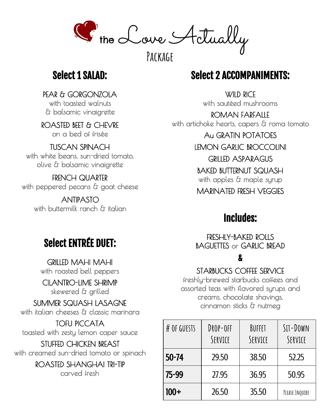the Love Actually

**Package**

# Select 1 SALAD:

PEAR & GORGONZOLA with toasted walnuts & balsamic vinaigrette

ROASTED BEET & CHEVRE on a bed of frisée

#### TUSCAN SPINACH with white beans, sun-dried tomato,

olive & balsamic vinaigrette

FRENCH QUARTER with peppered pecans & goat cheese

> ANTIPASTO with buttermilk ranch & italian

# Select 2 ACCOMPANIMENTS:

**WILD RICE** with sautéed mushrooms

ROMAN FARFALLE with artichoke hearts, capers & roma tomato Au GRATIN POTATOES

LEMON GARLIC BROCCOLINI GRILLED ASPARAGUS BAKED BUTTERNUT SQUASH with apples & maple syrup MARINATED FRESH VEGGIES

# Includes:

FRESHLY-BAKED ROLLS BAGUETTES or GARLIC BREAD

# &

STARBUCKS COFFEE SERVICE freshly-brewed starbucks coffees and assorted teas with flavored syrups and creams, chocolate shavings, cinnamon sticks & nutmeg

| # OF GUESTS | DROP-OFF<br>SERVICE | BUFFET<br>SERVICE | $SII - DOWN$<br>SERVICE |
|-------------|---------------------|-------------------|-------------------------|
| $50 - 74$   | 29.50               | 38.50             | 52.25                   |
| 75-99       | 27.95               | 36.95             | 50.95                   |
| $100+$      | 26.50               | 35.50             | PLEASE INQUIRE          |

# Select ENTRÉE DUET:

GRILLED MAHI MAHI with roasted bell peppers

CILANTRO-LIME SHRIMP skewered & grilled

SUMMER SQUASH LASAGNE with italian cheeses & classic marinara

TOFU PICCATA toasted with zesty lemon caper sauce

STUFFED CHICKEN BREAST with creamed sun-dried tomato or spinach

> ROASTED SHANGHAI TRI-TIP carved fresh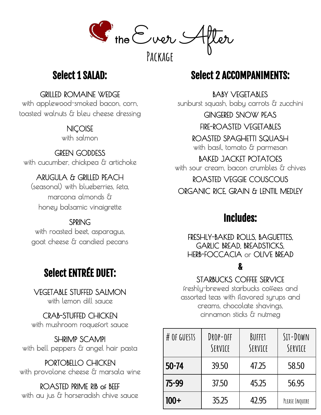G the Ever S

**Package**

# Select 1 SALAD:

GRILLED ROMAINE WEDGE

with applewood-smoked bacon, corn, toasted walnuts & bleu cheese dressing

# **NICOISE**

with salmon

# GREEN GODDESS

with cucumber, chickpea & artichoke

# ARUGULA & GRILLED PEACH

(seasonal) with blueberries, feta, marcona almonds & honey balsamic vinaigrette

# SPRING

with roasted beet, asparagus, goat cheese & candied pecans

# Select ENTRÉE DUET:

VEGETABLE STUFFED SALMON with lemon dill sauce

CRAB-STUFFED CHICKEN with mushroom roquefort sauce

SHRIMP SCAMPI with bell peppers & angel hair pasta

PORTOBELLO CHICKEN with provolone cheese & marsala wine

ROASTED PRIME RIB OF BEEF with au jus & horseradish chive sauce

# Select 2 ACCOMPANIMENTS:

BABY VEGETABLES sunburst squash, baby carrots & zucchini

GINGERED SNOW PEAS

FIRE-ROASTED VEGETABLES

ROASTED SPAGHETTI SQUASH with basil, tomato & parmesan

BAKED JACKET POTATOES with sour cream, bacon crumbles & chives ROASTED VEGGIE COUSCOUS ORGANIC RICE, GRAIN & LENTIL MEDLEY

# Includes:

FRESHLY-BAKED ROLLS, BAGUETTES, GARLIC BREAD, BREADSTICKS, HERB-FOCCACIA or OLIVE BREAD

# &

STARBUCKS COFFEE SERVICE

freshly-brewed starbucks coffees and assorted teas with flavored syrups and creams, chocolate shavings, cinnamon sticks & nutmeg

| # OF GUESTS | DROP-OFF<br>SERVICE | BUFFET<br>SERVICE | $SII - DOWN$<br>SERVICE |
|-------------|---------------------|-------------------|-------------------------|
| $50 - 74$   | 39.50               | 47.25             | 58.50                   |
| 75-99       | 37.50               | 45.25             | 56.95                   |
| $100+$      | 35.25               | 42.95             | PLEASE INQUIRE          |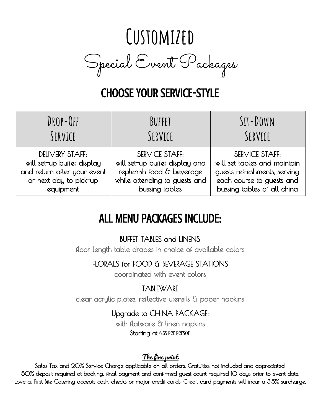# **Customized** Special Event Packages

# CHOOSE YOUR SERVICE-STYLE

| DROP-OFF                    | BUFFET                         | $SII - DOWN$                 |
|-----------------------------|--------------------------------|------------------------------|
| SERVICE                     | SERVICE                        | SERVICE                      |
| DELIVERY STAFF:             | <b>SERVICE STAFF:</b>          | <b>SERVICE STAFF:</b>        |
| will set-up buffet display  | will set-up buffet display and | will set tables and maintain |
| and return after your event | replenish food & beverage      | guests refreshments, serving |
| or next day to pick-up      | while attending to guests and  | each course to guests and    |
| equipment                   | bussing tables                 | bussing tables of all china  |

# ALL MENU PACKAGES INCLUDE:

BUFFET TABLES and LINENS

floor length table drapes in choice of available colors

FLORALS for FOOD & BEVERAGE STATIONS

coordinated with event colors

# **TABLEWARE**

clear acrylic plates, reflective utensils & paper napkins

# Upgrade to CHINA PACKAGE:

with flatware & linen napkins Starting at 6.65 per person

# The fine print

Sales Tax and 20% Service Charge applicable on all orders. Gratuities not included and appreciated. 50% deposit required at booking: final payment and confirmed guest count required 10 days prior to event date. Love at First Bite Catering accepts cash, checks or major credit cards. Credit card payments will incur a 3.5% surcharge.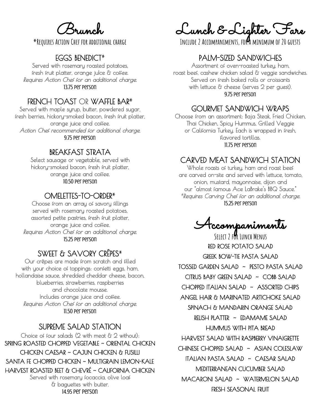Brunch

**\*Requires Action Chef for additional charge**

#### EGGS BENEDICT**\***

Served with rosemary roasted potatoes, fresh fruit platter, orange julce & coffee. Requires Action Chef for an additional charge. 13.75 per person

#### FRENCH TOAST OR WAFFLE BAR**\***

Served with maple syrup, butter, powdered sugar, fresh berries, hickory-smoked bacon, fresh fruit platter, orange juice and coffee. Action Chef recommended for additional charge. 9.75 per person

#### BREAKFAST STRATA

Select sausage or vegetable, served with hickory-smoked bacon, fresh fruit platter, orange juice and coffee. 10.50 per person

#### OMELETTES-TO-ORDER**\***

Choose from an array of savory fillings served with rosemary roasted potatoes, assorted petite pastries, fresh fruit platter, orange juice and coffee. Requires Action Chef for an additional charge. 15.25 per person

#### SWEET & SAVORY CRÊPES**\***

Our crêpes are made from scratch and filled with your choice of toppings: confetti eggs, ham, hollandaise sauce, shredded cheddar cheese, bacon, blueberries, strawberries, raspberries and chocolate mousse. Includes orange juice and coffee. Requires Action Chef for an additional charge. 11.50 per person

#### SUPREME SALAD STATION Choice of four salads (2 with meat & 2 without): SPRING ROASTED CHOPPED VEGETABLE ~ ORIENTAL CHICKEN CHICKEN CAESAR ~ CAJUN CHICKEN & FUSILLI SANTA FE CHOPPED CHICKEN ~ MULTIGRAIN LEMON-KALE HARVEST ROASTED BEET & CHEVRÉ ~ CALIFORNIA CHICKEN Served with rosemary focaccia, olive loaf & baguettes with butter. 14.95 per person

Lunch & Lighter Fare

**Include 2 Accompaniments, for a minimum of 20 guests**

#### PALM-SIZED SANDWICHES

Assortment of oven-roasted turkey, ham, roast beef, cashew chicken salad & veggie sandwiches. Served on fresh baked rolls or croissants with lettuce & cheese (serves 2 per guest). 9.75 per person

#### GOURMET SANDWICH WRAPS

Choose from an assortment: Baja Steak, Fried Chicken, Thai Chicken, Spicy Hummus, Grilled Veggie or California Turkey. Each is wrapped in fresh, flavored tortillas. 11.75 per person

### CARVED MEAT SANDWICH STATION

Whole roasts of turkey, ham and roast beef are carved on-site and served with lettuce, tomato, onion, mustard, mayonnaise, dijon and our "almost famous Ace LaBrake's BBQ Sauce." **\***Requires Carving Chef for an additional charge. 15.25 per person

Accompaniments

**Select 2 for Lunch Menus** RED ROSE POTATO SALAD GREEK BOW-TIE PASTA SALAD TOSSED GARDEN SALAD ~ PESTO PASTA SALAD CITRUS BABY GREEN SALAD ~ COBB SALAD CHOPPED ITALIAN SALAD ~ ASSORTED CHIPS ANGEL HAIR & MARINATED ARTICHOKE SALAD SPINACH & MANDARIN ORANGE SALAD RELISH PLATTER ~ EDAMAME SALAD HUMMUS WITH PITA BREAD HARVEST SALAD WITH RASPBERRY VINAIGRETTE CHINESE CHOPPED SALAD ~ ASIAN COLESLAW ITALIAN PASTA SALAD ~ CAESAR SALAD MEDITERRANEAN CUCUMBER SALAD MACARONI SALAD ~ WATERMELON SALAD FRESH SEASONAL FRUIT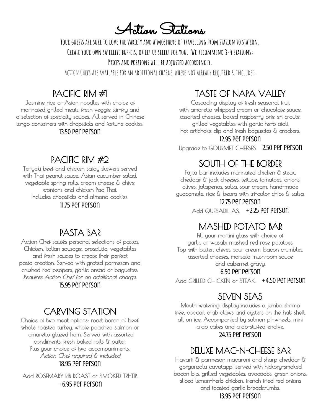Action Stations

**Your guests are sure to love the variety and atmosphere of travelling from station to station. Create your own satellite buffets, or let us select for you. We recommend 3-4 stations;**

**Prices and portions will be adjusted accordingly.**

Action Chefs are available for an additional charge, where not already required & included.

# PACIFIC RIM #1

Jasmine rice or Asian noodles with choice of marinated grilled meats, fresh veggie stir-fry and a selection of specialty sauces. All served in Chinese to-go containers with chopsticks and fortune cookies. 13.50 per person

# PACIFIC RIM #2

Teriyaki beef and chicken satay skewers served with Thai peanut sauce. Asian cucumber salad, vegetable spring rolls, cream cheese & chive wontons and chicken Pad Thai. Includes chopsticks and almond cookies. 11.75 per person

# PASTA BAR

Action Chef sautés personal selections of pastas, Chicken, italian sausage, prosciutto, vegetables and fresh sauces to create their perfect pasta creation. Served with grated parmesan and crushed red peppers, garlic bread or baguettes. Requires Action Chef for an additional charge. 15.95 per person

# CARVING STATION

Choice of two meat options: roast baron of beef, whole roasted turkey, whole poached salmon or amaretto glazed ham. Served with assorted condiments, fresh baked rolls & butter. Plus your choice of two accompaniments. Action Chef required & included 18.95 per person

Add ROSEMARY RIB ROAST or SMOKED TRI-TIP. +6.95 per person

# TASTE OF NAPA VALLEY

Cascading display of fresh seasonal fruit with amaretto whipped cream or chocolate sauce, assorted cheeses, baked raspberry brie en croute, grilled vegetables with garlic herb aioli, hot artichoke dip and fresh baguettes & crackers. 12.95 per person

Upgrade to GOURMET CHEESES. 2.50 per person

# SOUTH OF THE BORDER

Fajita bar includes marinated chicken & steak, cheddar & jack cheeses, lettuce, tomatoes, onions, olives, jalapenos, salsa, sour cream, hand-made guacamole, rice & beans with tri-color chips & salsa.

12.75 per person

Add QUESADILLAS. +2.25 Per person

## MASHED POTATO BAR

Fill your martini glass with choice of garlic or wasabi mashed red rose potatoes. Top with butter, chives, sour cream, bacon crumbles, assorted cheeses, marsala mushroom sauce and cabernet gravy.

#### 6.50 per person

Add GRILLED CHICKEN or STEAK. +4.50 per person

## SEVEN SEAS

Mouth-watering display includes a jumbo shrimp tree, cocktail crab claws and oysters on the half shell, all on ice. Accompanied by salmon pinwheels, mini crab cakes and crab-stuffed endive. 24.75 per person

# DELUXE MAC-N-CHEESE BAR

Havarti & parmesan macaroni and sharp cheddar & gorgonzola cavatappi served with hickory-smoked bacon bits, grilled vegetables, avocados, green onions, sliced lemon-herb chicken. french fried red onions and toasted garlic breadcrumbs. 13.95 per person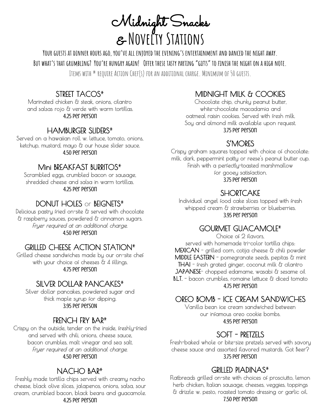Midnight Snacks & **Novelty Stations**

YOUR GUESTS AT DINNER HOURS AGO. YOU'VE ALL ENTOYED THE EVENING'S ENTERTAINMENT AND DANCED THE NIGHT AWAY. BUT WHAT'S THAT GRUMBLING? YOU'RE HUNGRY AGAIN! OFFER THESE TASTY PARTING "GIFTS" TO FINISH THE NIGHT ON A HIGH NOTE. **Items with \* require Action Chef(s) for an additional charge. Minimum of 50 guests.**

## STREET TACOS**\***

Marinated chicken & steak, onions, cilantro and salsas rojo & verde with warm tortillas. 4.25 per person

#### HAMBURGER SLIDERS**\***

Served on a hawaiian roll w. lettuce, tomato, onions, ketchup, mustard, mayo & our house slider sauce. 4.50 per person

#### Mini BREAKFAST BURRITOS**\***

Scrambled eggs, crumbled bacon or sausage, shredded cheese and salsa in warm tortillas. 4.25 per person

#### DONUT HOLES or BEIGNETS**\***

Delicious pastry fried on-site & served with chocolate & raspberry sauces, powdered & cinnamon sugars. Fryer required at an additional charge. 4.50 per person

#### GRILLED CHEESE ACTION STATION**\***

Grilled cheese sandwiches made by our on-site chef with your choice of cheeses & 4 fillings. 4.75 per person

#### SILVER DOLLAR PANCAKES**\***

Silver dollar pancakes, powdered sugar and thick maple syrup for dipping. 3.95 per persoN

#### FRENCH FRY BAR**\***

Crispy on the outside, tender on the inside, freshly-fried and served with chili, onions, cheese sauce, bacon crumbles, malt vinegar and sea salt. Fryer required at an additional charge. 4.50 per person

#### NACHO BAR**\***

Freshly made tortilla chips served with creamy nacho cheese, black olive slices, jalapenos, onions, salsa, sour cream, crumbled bacon, black beans and guacamole. 4.25 per person

#### MIDNIGHT MILK & COOKIES

Chocolate chip, chunky peanut butter, white-chocolate macadamia and oatmeal raisin cookies. Served with fresh milk. Soy and almond milk available upon request. 3.75 per person

#### S'MORES

Crispy graham squares topped with choice of chocolate: milk, dark, peppermint patty or reese's peanut butter cup. Finish with a perfectly-toasted marshmallow for gooey satisfaction. 3.75 per person

#### **SHORTCAKE**

Individual angel food cake slices topped with fresh whipped cream & strawberries or blueberries. 3.95 per person

## GOURMET GUACAMOLE**\***

Choice of 2 flavors, served with homemade tri-color tortilla chips: MEXICAN - grilled corn, cotija cheese & chili powder MIDDLE EASTERN - pomegranate seeds, pepitas & mint THAI - fresh grated ginger, coconut milk & cilantro JAPANESE- chopped edamame, wasabi & sesame oil B.L.T. - bacon crumbles, romaine lettuce & diced tomato 4.75 per person

#### OREO BOMB - ICE CREAM SANDWICHES

Vanilla bean ice cream sandwiched between our infamous oreo cookie bombs. 4.95 per person

## SOFT - PRETZELS

Fresh-baked whole or bite-size pretzels served with savory cheese sauce and assorted flavored mustards. Got Beer? 3.75 per person

#### GRILLED PIADINAS**\***

Flatbreads grilled on-site with choices of prosciutto, lemon herb chicken, Italian sausage, cheeses, veggies, toppings & drizzle w. pesto, roasted tomato dressing or garlic oil. 7.50 per person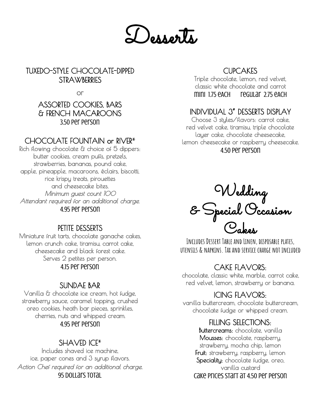

TUXEDO-STYLE CHOCOLATE-DIPPED STRAWBERRIES

or

#### ASSORTED COOKIES, BARS & FRENCH MACAROONS 3.50 per person

## CHOCOLATE FOUNTAIN or RIVER**\***

Rich flowing chocolate & choice of 5 dippers: butter cookies, cream puffs, pretzels, strawberries, bananas, pound cake, apple, pineapple, macaroons, éclairs, biscotti, rice krispy treats, pirouettes and cheesecake bites. Minimum guest count 100 Attendant required for an additional charge. 4.95 per person

## PETITE DESSERTS

Miniature fruit tarts, chocolate ganache cakes, lemon crunch cake, tiramisu, carrot cake, cheesecake and black forest cake. Serves 2 petites per person. 4.15 per person

## SUNDAE BAR

Vanilla & chocolate ice cream, hot fudge, strawberry sauce, caramel topping, crushed oreo cookies, heath bar pieces, sprinkles, cherries, nuts and whipped cream. 4.95 per person

## SHAVED ICE**\***

Includes shaved ice machine, ice, paper cones and 3 syrup flavors. Action Chef required for an additional charge. 95 dollars total

## **CUPCAKES**

Triple chocolate, lemon, red velvet, classic white chocolate and carrot mini 1.75 eACH regular 2.75 eACH

#### $\overline{a}$ INDIVIDUAL 3" DESSERTS DISPLAY

Choose 3 styles/flavors: carrot cake, red velvet cake, tiramisu, triple chocolate layer cake, chocolate cheesecake, lemon cheesecake or raspberry cheesecake. 4.50 per person

Wedding & Special Occasion Cakes

**IncludesDessert Table and Linen, disposable plates, utensils & napkins. Tax and service charge not included**

## CAKE FLAVORS:

chocolate, classic white, marble, carrot cake, red velvet, lemon, strawberry or banana.

## ICING FLAVORS:

vanilla buttercream, chocolate buttercream, chocolate fudge or whipped cream.

## FILLING SELECTIONS:

Buttercreams: chocolate, vanilla Mousses: chocolate, raspberry, strawberry, mocha chip, lemon Fruit: strawberry, raspberry, lemon Speciality: chocolate fudge, oreo, vanilla custard Cake prices start at 4.50 per person